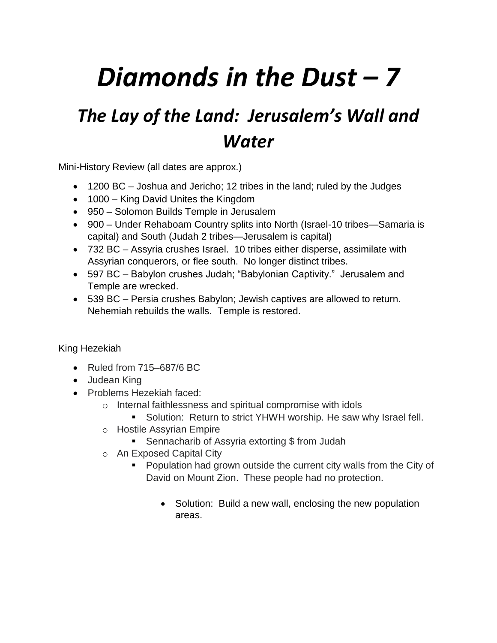# *Diamonds in the Dust – 7*

# *The Lay of the Land: Jerusalem's Wall and Water*

Mini-History Review (all dates are approx.)

- 1200 BC Joshua and Jericho; 12 tribes in the land; ruled by the Judges
- 1000 King David Unites the Kingdom
- 950 Solomon Builds Temple in Jerusalem
- 900 Under Rehaboam Country splits into North (Israel-10 tribes—Samaria is capital) and South (Judah 2 tribes—Jerusalem is capital)
- 732 BC Assyria crushes Israel. 10 tribes either disperse, assimilate with Assyrian conquerors, or flee south. No longer distinct tribes.
- 597 BC Babylon crushes Judah; "Babylonian Captivity." Jerusalem and Temple are wrecked.
- 539 BC Persia crushes Babylon; Jewish captives are allowed to return. Nehemiah rebuilds the walls. Temple is restored.

## King [Hezekiah](https://en.wikipedia.org/wiki/Hezekiah)

- Ruled from 715–687/6 BC
- Judean King
- Problems Hezekiah faced:
	- o Internal faithlessness and spiritual compromise with idols
		- **Solution: Return to strict YHWH worship. He saw why Israel fell.**
	- o Hostile Assyrian Empire
		- Sennacharib of Assyria extorting \$ from Judah
	- o An Exposed Capital City
		- **Population had grown outside the current city walls from the City of** David on Mount Zion. These people had no protection.
			- Solution: Build a new wall, enclosing the new population areas.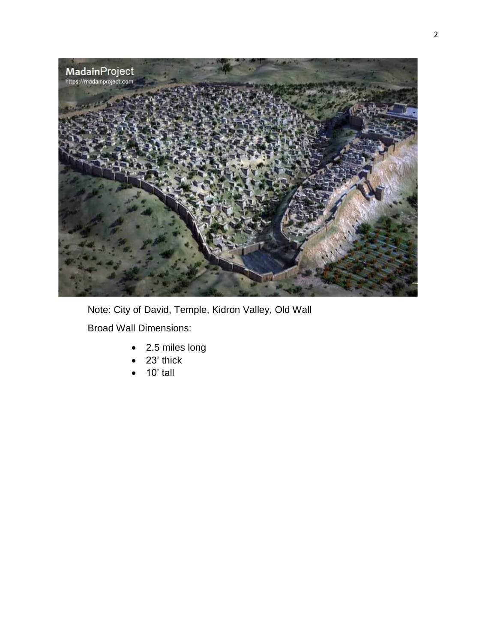

Note: City of David, Temple, Kidron Valley, Old Wall

Broad Wall Dimensions:

- 2.5 miles long
- 23' thick
- $\bullet$  10' tall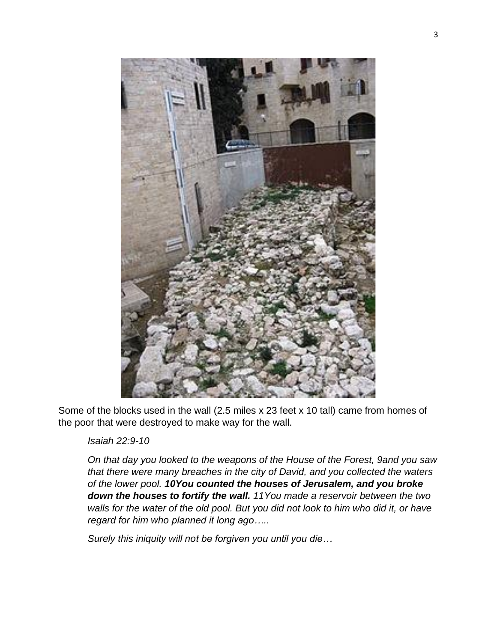

Some of the blocks used in the wall (2.5 miles x 23 feet x 10 tall) came from homes of the poor that were destroyed to make way for the wall.

### *Isaiah 22:9-10*

*On that day you looked to the weapons of the House of the Forest, 9and you saw that there were many breaches in the city of David, and you collected the waters of the lower pool. 10You counted the houses of Jerusalem, and you broke down the houses to fortify the wall. 11You made a reservoir between the two walls for the water of the old pool. But you did not look to him who did it, or have regard for him who planned it long ago…..*

*Surely this iniquity will not be forgiven you until you die…*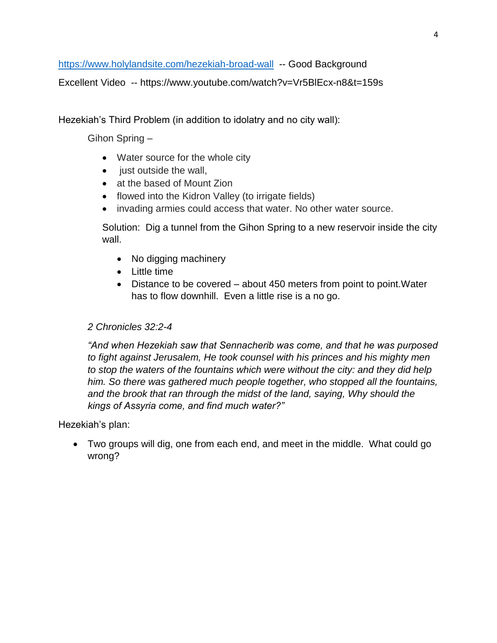<https://www.holylandsite.com/hezekiah-broad-wall>-- Good Background

Excellent Video -- https://www.youtube.com/watch?v=Vr5BlEcx-n8&t=159s

Hezekiah's Third Problem (in addition to idolatry and no city wall):

Gihon Spring –

- Water source for the whole city
- just outside the wall,
- at the based of Mount Zion
- flowed into the Kidron Valley (to irrigate fields)
- invading armies could access that water. No other water source.

Solution: Dig a tunnel from the Gihon Spring to a new reservoir inside the city wall.

- No digging machinery
- Little time
- Distance to be covered about 450 meters from point to point.Water has to flow downhill. Even a little rise is a no go.

### *2 Chronicles 32:2-4*

*"And when Hezekiah saw that Sennacherib was come, and that he was purposed to fight against Jerusalem, He took counsel with his princes and his mighty men to stop the waters of the fountains which were without the city: and they did help him. So there was gathered much people together, who stopped all the fountains, and the brook that ran through the midst of the land, saying, Why should the kings of Assyria come, and find much water?"*

### Hezekiah's plan:

 Two groups will dig, one from each end, and meet in the middle. What could go wrong?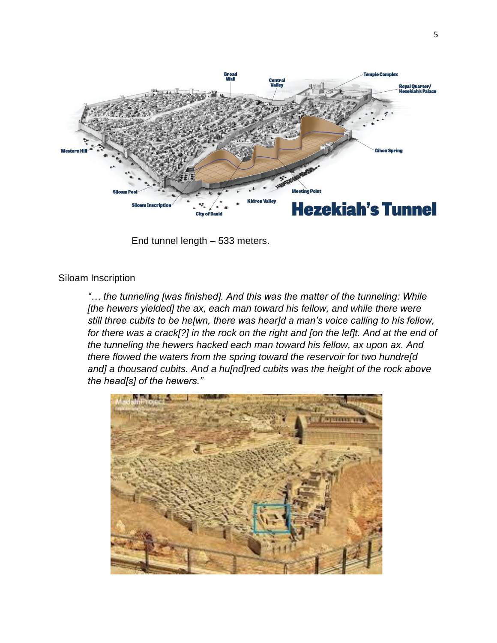

End tunnel length – 533 meters.

#### Siloam Inscription

*"… the tunneling [was finished]. And this was the matter of the tunneling: While [the hewers yielded] the ax, each man toward his fellow, and while there were still three cubits to be he[wn, there was hear]d a man's voice calling to his fellow, for there was a crack[?] in the rock on the right and [on the lef]t. And at the end of the tunneling the hewers hacked each man toward his fellow, ax upon ax. And there flowed the waters from the spring toward the reservoir for two hundre[d and] a thousand cubits. And a hu[nd]red cubits was the height of the rock above the head[s] of the hewers."*

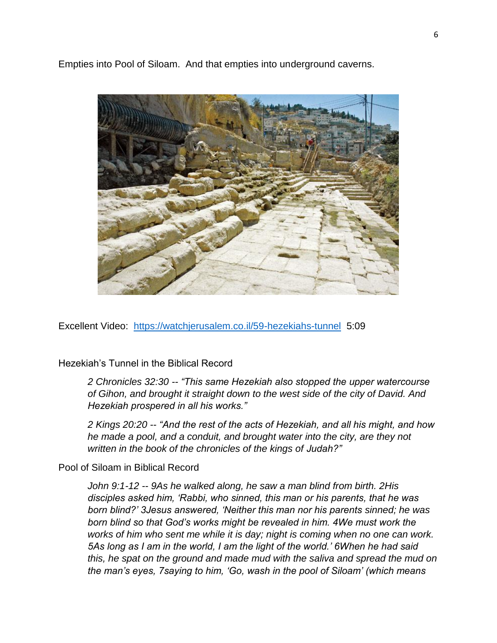Empties into Pool of Siloam. And that empties into underground caverns.



Excellent Video: <https://watchjerusalem.co.il/59-hezekiahs-tunnel>5:09

Hezekiah's Tunnel in the Biblical Record

*2 Chronicles 32:30 -- "This same Hezekiah also stopped the upper watercourse of Gihon, and brought it straight down to the west side of the city of David. And Hezekiah prospered in all his works."*

*2 Kings 20:20 -- "And the rest of the acts of Hezekiah, and all his might, and how he made a pool, and a conduit, and brought water into the city, are they not written in the book of the chronicles of the kings of Judah?"*

#### Pool of Siloam in Biblical Record

*John 9:1-12 -- 9As he walked along, he saw a man blind from birth. 2His disciples asked him, 'Rabbi, who sinned, this man or his parents, that he was born blind?' 3Jesus answered, 'Neither this man nor his parents sinned; he was born blind so that God's works might be revealed in him. 4We must work the works of him who sent me while it is day; night is coming when no one can work. 5As long as I am in the world, I am the light of the world.' 6When he had said this, he spat on the ground and made mud with the saliva and spread the mud on the man's eyes, 7saying to him, 'Go, wash in the pool of Siloam' (which means*